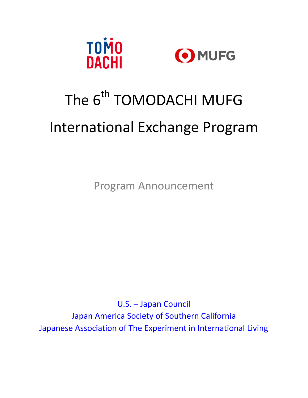



Program Announcement

U.S. – Japan Council Japan America Society of Southern California Japanese Association of The Experiment in International Living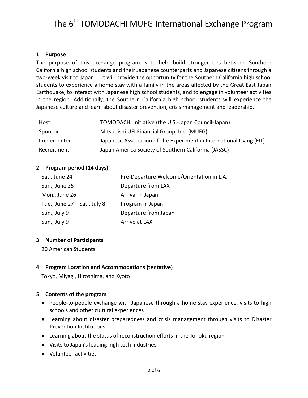#### **1 Purpose**

The purpose of this exchange program is to help build stronger ties between Southern California high school students and their Japanese counterparts and Japanese citizens through a two-week visit to Japan. It will provide the opportunity for the Southern California high school students to experience a home stay with a family in the areas affected by the Great East Japan Earthquake, to interact with Japanese high school students, and to engage in volunteer activities in the region. Additionally, the Southern California high school students will experience the Japanese culture and learn about disaster prevention, crisis management and leadership.

| Host        | TOMODACHI Initiative (the U.S.-Japan Council-Japan)                  |
|-------------|----------------------------------------------------------------------|
| Sponsor     | Mitsubishi UFJ Financial Group, Inc. (MUFG)                          |
| Implementer | Japanese Association of The Experiment in International Living (EIL) |
| Recruitment | Japan America Society of Southern California (JASSC)                 |

#### **2 Program period (14 days)**

| Sat., June 24                   | Pre-Departure Welcome/Orientation in L.A. |
|---------------------------------|-------------------------------------------|
| Sun., June 25                   | Departure from LAX                        |
| Mon., June 26                   | Arrival in Japan                          |
| Tue., June $27 - Sat.$ , July 8 | Program in Japan                          |
| Sun., July 9                    | Departure from Japan                      |
| Sun., July 9                    | Arrive at LAX                             |

#### **3 Number of Participants**

20 American Students

## **4 Program Location and Accommodations (tentative)**

Tokyo, Miyagi, Hiroshima, and Kyoto

## **5 Contents of the program**

- People-to-people exchange with Japanese through a home stay experience, visits to high schools and other cultural experiences
- Learning about disaster preparedness and crisis management through visits to Disaster Prevention Institutions
- Learning about the status of reconstruction efforts in the Tohoku region
- Visits to Japan's leading high tech industries
- Volunteer activities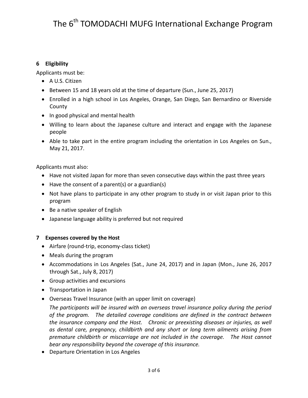## **6 Eligibility**

Applicants must be:

- A U.S. Citizen
- Between 15 and 18 years old at the time of departure (Sun., June 25, 2017)
- Enrolled in a high school in Los Angeles, Orange, San Diego, San Bernardino or Riverside County
- In good physical and mental health
- Willing to learn about the Japanese culture and interact and engage with the Japanese people
- Able to take part in the entire program including the orientation in Los Angeles on Sun., May 21, 2017.

Applicants must also:

- Have not visited Japan for more than seven consecutive days within the past three years
- $\bullet$  Have the consent of a parent(s) or a guardian(s)
- Not have plans to participate in any other program to study in or visit Japan prior to this program
- Be a native speaker of English
- Japanese language ability is preferred but not required

# **7 Expenses covered by the Host**

- Airfare (round-trip, economy-class ticket)
- Meals during the program
- Accommodations in Los Angeles (Sat., June 24, 2017) and in Japan (Mon., June 26, 2017 through Sat., July 8, 2017)
- Group activities and excursions
- Transportation in Japan
- Overseas Travel Insurance (with an upper limit on coverage)

*The participants will be insured with an overseas travel insurance policy during the period of the program. The detailed coverage conditions are defined in the contract between the insurance company and the Host. Chronic or preexisting diseases or injuries, as well as dental care, pregnancy, childbirth and any short or long term ailments arising from premature childbirth or miscarriage are not included in the coverage. The Host cannot bear any responsibility beyond the coverage of this insurance.*

• Departure Orientation in Los Angeles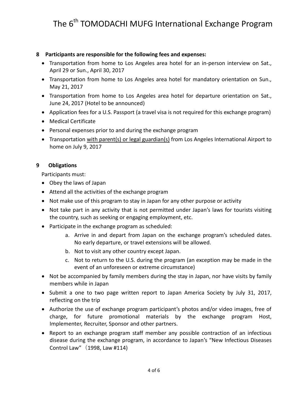## **8 Participants are responsible for the following fees and expenses:**

- Transportation from home to Los Angeles area hotel for an in-person interview on Sat., April 29 or Sun., April 30, 2017
- Transportation from home to Los Angeles area hotel for mandatory orientation on Sun., May 21, 2017
- Transportation from home to Los Angeles area hotel for departure orientation on Sat., June 24, 2017 (Hotel to be announced)
- Application fees for a U.S. Passport (a travel visa is not required for this exchange program)
- Medical Certificate
- Personal expenses prior to and during the exchange program
- Transportation with parent(s) or legal guardian(s) from Los Angeles International Airport to home on July 9, 2017

# **9 Obligations**

Participants must:

- Obey the laws of Japan
- Attend all the activities of the exchange program
- Not make use of this program to stay in Japan for any other purpose or activity
- Not take part in any activity that is not permitted under Japan's laws for tourists visiting the country, such as seeking or engaging employment, etc.
- Participate in the exchange program as scheduled:
	- a. Arrive in and depart from Japan on the exchange program's scheduled dates. No early departure, or travel extensions will be allowed.
	- b. Not to visit any other country except Japan.
	- c. Not to return to the U.S. during the program (an exception may be made in the event of an unforeseen or extreme circumstance)
- Not be accompanied by family members during the stay in Japan, nor have visits by family members while in Japan
- Submit a one to two page written report to Japan America Society by July 31, 2017, reflecting on the trip
- Authorize the use of exchange program participant's photos and/or video images, free of charge, for future promotional materials by the exchange program Host, Implementer, Recruiter, Sponsor and other partners.
- Report to an exchange program staff member any possible contraction of an infectious disease during the exchange program, in accordance to Japan's "New Infectious Diseases Control Law" $(1998, \text{Law } #114)$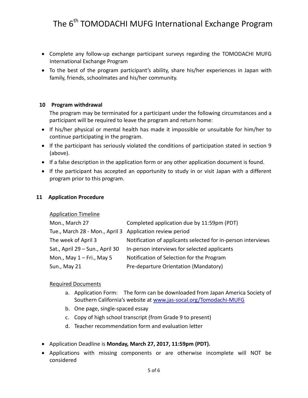- Complete any follow-up exchange participant surveys regarding the TOMODACHI MUFG International Exchange Program
- To the best of the program participant's ability, share his/her experiences in Japan with family, friends, schoolmates and his/her community.

#### **10 Program withdrawal**

The program may be terminated for a participant under the following circumstances and a participant will be required to leave the program and return home:

- If his/her physical or mental health has made it impossible or unsuitable for him/her to continue participating in the program.
- If the participant has seriously violated the conditions of participation stated in section 9 (above).
- If a false description in the application form or any other application document is found.
- If the participant has accepted an opportunity to study in or visit Japan with a different program prior to this program.

#### **11 Application Procedure**

#### Application Timeline

| Mon., March 27                                           | Completed application due by 11:59pm (PDT)                   |
|----------------------------------------------------------|--------------------------------------------------------------|
| Tue., March 28 - Mon., April 3 Application review period |                                                              |
| The week of April 3                                      | Notification of applicants selected for in-person interviews |
| Sat., April 29 – Sun., April 30                          | In-person interviews for selected applicants                 |
| Mon., May $1 - Fri$ ., May 5                             | Notification of Selection for the Program                    |
| Sun., May 21                                             | Pre-departure Orientation (Mandatory)                        |

#### Required Documents

- a. Application Form: The form can be downloaded from Japan America Society of Southern California's website at [www.jas-socal.org/](http://www.jas-socal.org/)Tomodachi-MUFG
- b. One page, single-spaced essay
- c. Copy of high school transcript (from Grade 9 to present)
- d. Teacher recommendation form and evaluation letter
- Application Deadline is **Monday, March 27, 2017, 11:59pm (PDT).**
- Applications with missing components or are otherwise incomplete will NOT be considered